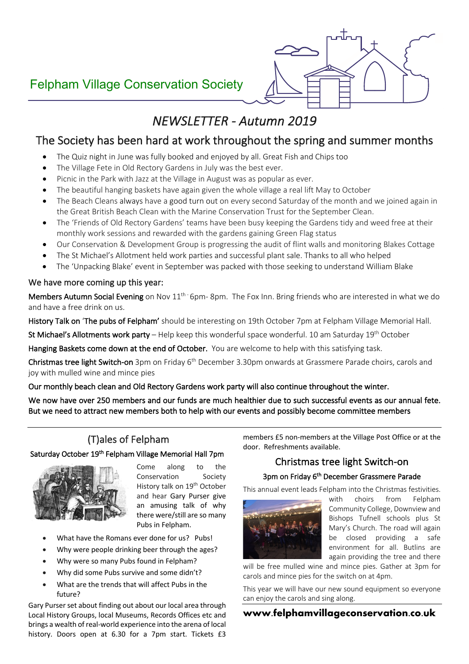# Felpham Village Conservation Society



# *NEWSLETTER - Autumn 2019*

## The Society has been hard at work throughout the spring and summer months

- The Quiz night in June was fully booked and enjoyed by all. Great Fish and Chips too
- The Village Fete in Old Rectory Gardens in July was the best ever.
- Picnic in the Park with Jazz at the Village in August was as popular as ever.
- The beautiful hanging baskets have again given the whole village a real lift May to October
- The Beach Cleans always have a good turn out on every second Saturday of the month and we joined again in the Great British Beach Clean with the Marine Conservation Trust for the September Clean.
- The 'Friends of Old Rectory Gardens' teams have been busy keeping the Gardens tidy and weed free at their monthly work sessions and rewarded with the gardens gaining Green Flag status
- Our Conservation & Development Group is progressing the audit of flint walls and monitoring Blakes Cottage
- The St Michael's Allotment held work parties and successful plant sale. Thanks to all who helped
- The 'Unpacking Blake' event in September was packed with those seeking to understand William Blake

#### We have more coming up this year:

Members Autumn Social Evening on Nov 11<sup>th-</sup> 6pm- 8pm. The Fox Inn. Bring friends who are interested in what we do and have a free drink on us.

History Talk on 'The pubs of Felpham' should be interesting on 19th October 7pm at Felpham Village Memorial Hall.

St Michael's Allotments work party – Help keep this wonderful space wonderful. 10 am Saturday 19<sup>th</sup> October

Hanging Baskets come down at the end of October. You are welcome to help with this satisfying task.

Christmas tree light Switch-on 3pm on Friday 6<sup>th</sup> December 3.30pm onwards at Grassmere Parade choirs, carols and joy with mulled wine and mince pies

#### Our monthly beach clean and Old Rectory Gardens work party will also continue throughout the winter.

We now have over 250 members and our funds are much healthier due to such successful events as our annual fete. But we need to attract new members both to help with our events and possibly become committee members

## (T)ales of Felpham

#### Saturday October 19<sup>th</sup> Felpham Village Memorial Hall 7pm



Come along to the Conservation Society History talk on 19<sup>th</sup> October and hear Gary Purser give an amusing talk of why there were/still are so many Pubs in Felpham.

- What have the Romans ever done for us? Pubs!
- Why were people drinking beer through the ages?
- Why were so many Pubs found in Felpham?
- Why did some Pubs survive and some didn't?
- What are the trends that will affect Pubs in the future?

Gary Purser set about finding out about our local area through Local History Groups, local Museums, Records Offices etc and brings a wealth of real-world experience into the arena of local history. Doors open at 6.30 for a 7pm start. Tickets £3

members £5 non-members at the Village Post Office or at the door. Refreshments available.

## Christmas tree light Switch-on

#### 3pm on Friday 6<sup>th</sup> December Grassmere Parade

This annual event leads Felpham into the Christmas festivities.



with choirs from Felpham Community College, Downview and Bishops Tufnell schools plus St Mary's Church. The road will again be closed providing a safe environment for all. Butlins are again providing the tree and there

will be free mulled wine and mince pies. Gather at 3pm for carols and mince pies for the switch on at 4pm.

This year we will have our new sound equipment so everyone can enjoy the carols and sing along.

#### **www.felphamvillageconservation.co.uk**